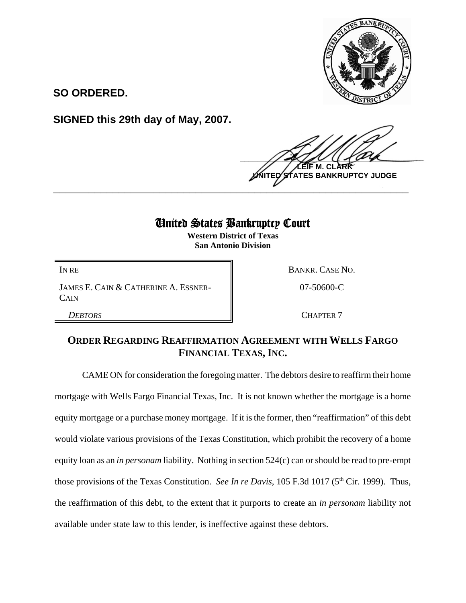

**SO ORDERED.**

**SIGNED this 29th day of May, 2007.**

 $\frac{1}{2}$ **LEIF M. CLARK TES BANKRUPTCY JUDGE \_\_\_\_\_\_\_\_\_\_\_\_\_\_\_\_\_\_\_\_\_\_\_\_\_\_\_\_\_\_\_\_\_\_\_\_\_\_\_\_\_\_\_\_\_\_\_\_\_\_\_\_\_\_\_\_\_\_\_\_**

## United States Bankruptcy Court

**Western District of Texas San Antonio Division**

JAMES E. CAIN & CATHERINE A. ESSNER-**CAIN** 

IN RE BANKR. CASE NO. 07-50600-C

**DEBTORS** CHAPTER 7

## **ORDER REGARDING REAFFIRMATION AGREEMENT WITH WELLS FARGO FINANCIAL TEXAS, INC.**

CAME ON for consideration the foregoing matter. The debtors desire to reaffirm their home mortgage with Wells Fargo Financial Texas, Inc. It is not known whether the mortgage is a home equity mortgage or a purchase money mortgage. If it is the former, then "reaffirmation" of this debt would violate various provisions of the Texas Constitution, which prohibit the recovery of a home equity loan as an *in personam* liability. Nothing in section 524(c) can or should be read to pre-empt those provisions of the Texas Constitution. *See In re Davis*, 105 F.3d 1017 (5<sup>th</sup> Cir. 1999). Thus, the reaffirmation of this debt, to the extent that it purports to create an *in personam* liability not available under state law to this lender, is ineffective against these debtors.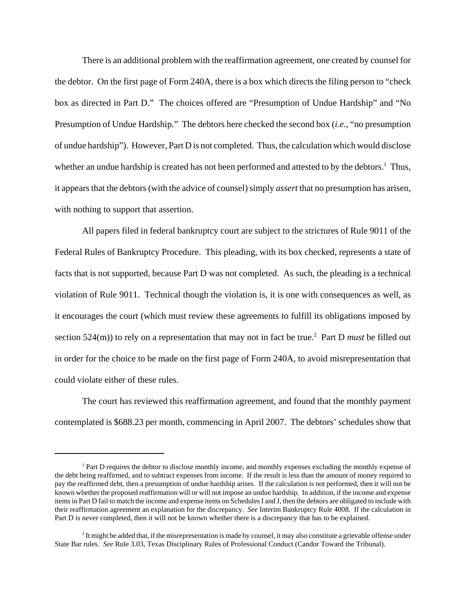There is an additional problem with the reaffirmation agreement, one created by counsel for the debtor. On the first page of Form 240A, there is a box which directs the filing person to "check box as directed in Part D." The choices offered are "Presumption of Undue Hardship" and "No Presumption of Undue Hardship." The debtors here checked the second box (*i.e.*, "no presumption of undue hardship"). However, Part D is not completed. Thus, the calculation which would disclose whether an undue hardship is created has not been performed and attested to by the debtors.<sup>1</sup> Thus, it appears that the debtors (with the advice of counsel) simply *assert* that no presumption has arisen, with nothing to support that assertion.

All papers filed in federal bankruptcy court are subject to the strictures of Rule 9011 of the Federal Rules of Bankruptcy Procedure. This pleading, with its box checked, represents a state of facts that is not supported, because Part D was not completed. As such, the pleading is a technical violation of Rule 9011. Technical though the violation is, it is one with consequences as well, as it encourages the court (which must review these agreements to fulfill its obligations imposed by section 524(m)) to rely on a representation that may not in fact be true.<sup>2</sup> Part D *must* be filled out in order for the choice to be made on the first page of Form 240A, to avoid misrepresentation that could violate either of these rules.

The court has reviewed this reaffirmation agreement, and found that the monthly payment contemplated is \$688.23 per month, commencing in April 2007. The debtors' schedules show that

<sup>&</sup>lt;sup>1</sup> Part D requires the debtor to disclose monthly income, and monthly expenses excluding the monthly expense of the debt being reaffirmed, and to subtract expenses from income. If the result is less than the amount of money required to pay the reaffirmed debt, then a presumption of undue hardship arises. If the calculation is not performed, then it will not be known whether the proposed reaffirmation will or will not impose an undue hardship. In addition, if the income and expense items in Part D fail to match the income and expense items on Schedules I and J, then the debtors are obligated to include with their reaffirmation agreement an explanation for the discrepancy. *See* Interim Bankruptcy Rule 4008. If the calculation in Part D is never completed, then it will not be known whether there is a discrepancy that has to be explained.

 $<sup>2</sup>$  It might be added that, if the misrepresentation is made by counsel, it may also constitute a grievable offense under</sup> State Bar rules. *See* Rule 3.03, Texas Disciplinary Rules of Professional Conduct (Candor Toward the Tribunal).